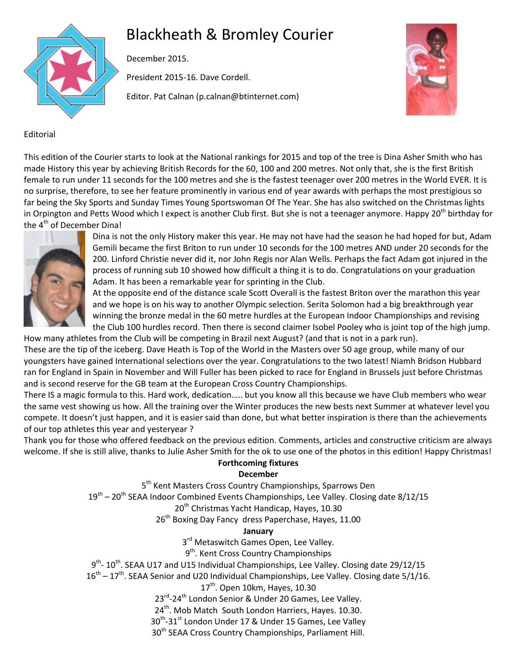# Blackheath & Bromley Courier



December 2015.

President 2015-16. Dave Cordell.

Editor. Pat Calnan (p.calnan@btinternet.com)



## Editorial

This edition of the Courier starts to look at the National rankings for 2015 and top of the tree is Dina Asher Smith who has made History this year by achieving British Records for the 60, 100 and 200 metres. Not only that, she is the first British female to run under 11 seconds for the 100 metres and she is the fastest teenager over 200 metres in the World EVER. It is no surprise, therefore, to see her feature prominently in various end of year awards with perhaps the most prestigious so far being the Sky Sports and Sunday Times Young Sportswoman Of The Year. She has also switched on the Christmas lights in Orpington and Petts Wood which I expect is another Club first. But she is not a teenager anymore. Happy 20<sup>th</sup> birthday for the 4<sup>th</sup> of December Dina!



Dina is not the only History maker this year. He may not have had the season he had hoped for but, Adam Gemili became the first Briton to run under 10 seconds for the 100 metres AND under 20 seconds for the 200. Linford Christie never did it, nor John Regis nor Alan Wells. Perhaps the fact Adam got injured in the process of running sub 10 showed how difficult a thing it is to do. Congratulations on your graduation Adam. It has been a remarkable year for sprinting in the Club.

At the opposite end of the distance scale Scott Overall is the fastest Briton over the marathon this year and we hope is on his way to another Olympic selection. Serita Solomon had a big breakthrough year winning the bronze medal in the 60 metre hurdles at the European Indoor Championships and revising the Club 100 hurdles record. Then there is second claimer Isobel Pooley who is joint top of the high jump.

How many athletes from the Club will be competing in Brazil next August? (and that is not in a park run). These are the tip of the iceberg. Dave Heath is Top of the World in the Masters over 50 age group, while many of our youngsters have gained International selections over the year. Congratulations to the two latest! Niamh Bridson Hubbard ran for England in Spain in November and Will Fuller has been picked to race for England in Brussels just before Christmas and is second reserve for the GB team at the European Cross Country Championships.

There IS a magic formula to this. Hard work, dedication….. but you know all this because we have Club members who wear the same vest showing us how. All the training over the Winter produces the new bests next Summer at whatever level you compete. It doesn't just happen, and it is easier said than done, but what better inspiration is there than the achievements of our top athletes this year and yesteryear ?

Thank you for those who offered feedback on the previous edition. Comments, articles and constructive criticism are always welcome. If she is still alive, thanks to Julie Asher Smith for the ok to use one of the photos in this edition! Happy Christmas!

## **Forthcoming fixtures**

## **December**

5<sup>th</sup> Kent Masters Cross Country Championships, Sparrows Den 19<sup>th</sup> – 20<sup>th</sup> SEAA Indoor Combined Events Championships, Lee Valley. Closing date 8/12/15 20<sup>th</sup> Christmas Yacht Handicap, Hayes, 10.30 26<sup>th</sup> Boxing Day Fancy dress Paperchase, Hayes, 11.00 **January** 3<sup>rd</sup> Metaswitch Games Open, Lee Valley.

9<sup>th</sup>. Kent Cross Country Championships

9<sup>th</sup>- 10<sup>th</sup>. SEAA U17 and U15 Individual Championships, Lee Valley. Closing date 29/12/15

 $16<sup>th</sup> - 17<sup>th</sup>$ . SEAA Senior and U20 Individual Championships, Lee Valley. Closing date 5/1/16.

17<sup>th</sup>. Open 10km, Hayes, 10.30

23<sup>rd</sup>-24<sup>th</sup> London Senior & Under 20 Games, Lee Valley.

24<sup>th</sup>. Mob Match South London Harriers, Hayes. 10.30.

 $30<sup>th</sup>$ -31<sup>st</sup> London Under 17 & Under 15 Games, Lee Valley

30<sup>th</sup> SEAA Cross Country Championships, Parliament Hill.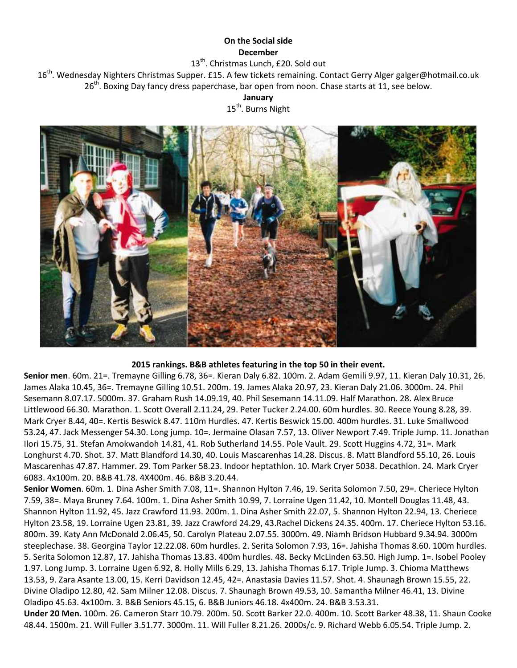## **On the Social side December**

13<sup>th</sup>. Christmas Lunch, £20. Sold out

16<sup>th</sup>. Wednesday Nighters Christmas Supper. £15. A few tickets remaining. Contact Gerry Alger galger@hotmail.co.uk 26<sup>th</sup>. Boxing Day fancy dress paperchase, bar open from noon. Chase starts at 11, see below.

### **January**

15<sup>th</sup>. Burns Night



#### **2015 rankings. B&B athletes featuring in the top 50 in their event.**

**Senior men**. 60m. 21=. Tremayne Gilling 6.78, 36=. Kieran Daly 6.82. 100m. 2. Adam Gemili 9.97, 11. Kieran Daly 10.31, 26. James Alaka 10.45, 36=. Tremayne Gilling 10.51. 200m. 19. James Alaka 20.97, 23. Kieran Daly 21.06. 3000m. 24. Phil Sesemann 8.07.17. 5000m. 37. Graham Rush 14.09.19, 40. Phil Sesemann 14.11.09. Half Marathon. 28. Alex Bruce Littlewood 66.30. Marathon. 1. Scott Overall 2.11.24, 29. Peter Tucker 2.24.00. 60m hurdles. 30. Reece Young 8.28, 39. Mark Cryer 8.44, 40=. Kertis Beswick 8.47. 110m Hurdles. 47. Kertis Beswick 15.00. 400m hurdles. 31. Luke Smallwood 53.24, 47. Jack Messenger 54.30. Long jump. 10=. Jermaine Olasan 7.57, 13. Oliver Newport 7.49. Triple Jump. 11. Jonathan Ilori 15.75, 31. Stefan Amokwandoh 14.81, 41. Rob Sutherland 14.55. Pole Vault. 29. Scott Huggins 4.72, 31=. Mark Longhurst 4.70. Shot. 37. Matt Blandford 14.30, 40. Louis Mascarenhas 14.28. Discus. 8. Matt Blandford 55.10, 26. Louis Mascarenhas 47.87. Hammer. 29. Tom Parker 58.23. Indoor heptathlon. 10. Mark Cryer 5038. Decathlon. 24. Mark Cryer 6083. 4x100m. 20. B&B 41.78. 4X400m. 46. B&B 3.20.44.

**Senior Women**. 60m. 1. Dina Asher Smith 7.08, 11=. Shannon Hylton 7.46, 19. Serita Solomon 7.50, 29=. Cheriece Hylton 7.59, 38=. Maya Bruney 7.64. 100m. 1. Dina Asher Smith 10.99, 7. Lorraine Ugen 11.42, 10. Montell Douglas 11.48, 43. Shannon Hylton 11.92, 45. Jazz Crawford 11.93. 200m. 1. Dina Asher Smith 22.07, 5. Shannon Hylton 22.94, 13. Cheriece Hylton 23.58, 19. Lorraine Ugen 23.81, 39. Jazz Crawford 24.29, 43.Rachel Dickens 24.35. 400m. 17. Cheriece Hylton 53.16. 800m. 39. Katy Ann McDonald 2.06.45, 50. Carolyn Plateau 2.07.55. 3000m. 49. Niamh Bridson Hubbard 9.34.94. 3000m steeplechase. 38. Georgina Taylor 12.22.08. 60m hurdles. 2. Serita Solomon 7.93, 16=. Jahisha Thomas 8.60. 100m hurdles. 5. Serita Solomon 12.87, 17. Jahisha Thomas 13.83. 400m hurdles. 48. Becky McLinden 63.50. High Jump. 1=. Isobel Pooley 1.97. Long Jump. 3. Lorraine Ugen 6.92, 8. Holly Mills 6.29, 13. Jahisha Thomas 6.17. Triple Jump. 3. Chioma Matthews 13.53, 9. Zara Asante 13.00, 15. Kerri Davidson 12.45, 42=. Anastasia Davies 11.57. Shot. 4. Shaunagh Brown 15.55, 22. Divine Oladipo 12.80, 42. Sam Milner 12.08. Discus. 7. Shaunagh Brown 49.53, 10. Samantha Milner 46.41, 13. Divine Oladipo 45.63. 4x100m. 3. B&B Seniors 45.15, 6. B&B Juniors 46.18. 4x400m. 24. B&B 3.53.31.

**Under 20 Men.** 100m. 26. Cameron Starr 10.79. 200m. 50. Scott Barker 22.0. 400m. 10. Scott Barker 48.38, 11. Shaun Cooke 48.44. 1500m. 21. Will Fuller 3.51.77. 3000m. 11. Will Fuller 8.21.26. 2000s/c. 9. Richard Webb 6.05.54. Triple Jump. 2.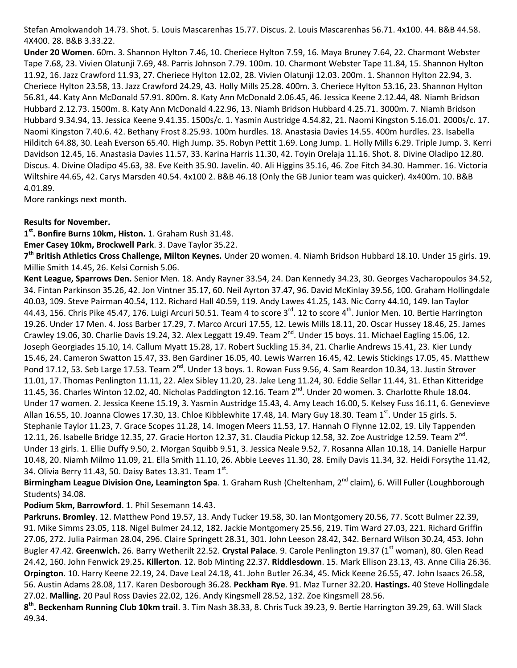Stefan Amokwandoh 14.73. Shot. 5. Louis Mascarenhas 15.77. Discus. 2. Louis Mascarenhas 56.71. 4x100. 44. B&B 44.58. 4X400. 28. B&B 3.33.22.

**Under 20 Women**. 60m. 3. Shannon Hylton 7.46, 10. Cheriece Hylton 7.59, 16. Maya Bruney 7.64, 22. Charmont Webster Tape 7.68, 23. Vivien Olatunji 7.69, 48. Parris Johnson 7.79. 100m. 10. Charmont Webster Tape 11.84, 15. Shannon Hylton 11.92, 16. Jazz Crawford 11.93, 27. Cheriece Hylton 12.02, 28. Vivien Olatunji 12.03. 200m. 1. Shannon Hylton 22.94, 3. Cheriece Hylton 23.58, 13. Jazz Crawford 24.29, 43. Holly Mills 25.28. 400m. 3. Cheriece Hylton 53.16, 23. Shannon Hylton 56.81, 44. Katy Ann McDonald 57.91. 800m. 8. Katy Ann McDonald 2.06.45, 46. Jessica Keene 2.12.44, 48. Niamh Bridson Hubbard 2.12.73. 1500m. 8. Katy Ann McDonald 4.22.96, 13. Niamh Bridson Hubbard 4.25.71. 3000m. 7. Niamh Bridson Hubbard 9.34.94, 13. Jessica Keene 9.41.35. 1500s/c. 1. Yasmin Austridge 4.54.82, 21. Naomi Kingston 5.16.01. 2000s/c. 17. Naomi Kingston 7.40.6. 42. Bethany Frost 8.25.93. 100m hurdles. 18. Anastasia Davies 14.55. 400m hurdles. 23. Isabella Hilditch 64.88, 30. Leah Everson 65.40. High Jump. 35. Robyn Pettit 1.69. Long Jump. 1. Holly Mills 6.29. Triple Jump. 3. Kerri Davidson 12.45, 16. Anastasia Davies 11.57, 33. Karina Harris 11.30, 42. Toyin Orelaja 11.16. Shot. 8. Divine Oladipo 12.80. Discus. 4. Divine Oladipo 45.63, 38. Eve Keith 35.90. Javelin. 40. Ali Higgins 35.16, 46. Zoe Fitch 34.30. Hammer. 16. Victoria Wiltshire 44.65, 42. Carys Marsden 40.54. 4x100 2. B&B 46.18 (Only the GB Junior team was quicker). 4x400m. 10. B&B 4.01.89.

More rankings next month.

#### **Results for November.**

**1 st. Bonfire Burns 10km, Histon.** 1. Graham Rush 31.48.

**Emer Casey 10km, Brockwell Park**. 3. Dave Taylor 35.22.

**7 th British Athletics Cross Challenge, Milton Keynes.** Under 20 women. 4. Niamh Bridson Hubbard 18.10. Under 15 girls. 19. Millie Smith 14.45, 26. Kelsi Cornish 5.06.

**Kent League, Sparrows Den.** Senior Men. 18. Andy Rayner 33.54, 24. Dan Kennedy 34.23, 30. Georges Vacharopoulos 34.52, 34. Fintan Parkinson 35.26, 42. Jon Vintner 35.17, 60. Neil Ayrton 37.47, 96. David McKinlay 39.56, 100. Graham Hollingdale 40.03, 109. Steve Pairman 40.54, 112. Richard Hall 40.59, 119. Andy Lawes 41.25, 143. Nic Corry 44.10, 149. Ian Taylor 44.43, 156. Chris Pike 45.47, 176. Luigi Arcuri 50.51. Team 4 to score 3 $^{\text{rd}}$ . 12 to score 4 $^{\text{th}}$ . Junior Men. 10. Bertie Harrington 19.26. Under 17 Men. 4. Joss Barber 17.29, 7. Marco Arcuri 17.55, 12. Lewis Mills 18.11, 20. Oscar Hussey 18.46, 25. James Crawley 19.06, 30. Charlie Davis 19.24, 32. Alex Leggatt 19.49. Team 2<sup>nd</sup>. Under 15 boys. 11. Michael Eagling 15.06, 12. Joseph Georgiades 15.10, 14. Callum Myatt 15.28, 17. Robert Suckling 15.34, 21. Charlie Andrews 15.41, 23. Kier Lundy 15.46, 24. Cameron Swatton 15.47, 33. Ben Gardiner 16.05, 40. Lewis Warren 16.45, 42. Lewis Stickings 17.05, 45. Matthew Pond 17.12, 53. Seb Large 17.53. Team 2<sup>nd</sup>. Under 13 boys. 1. Rowan Fuss 9.56, 4. Sam Reardon 10.34, 13. Justin Strover 11.01, 17. Thomas Penlington 11.11, 22. Alex Sibley 11.20, 23. Jake Leng 11.24, 30. Eddie Sellar 11.44, 31. Ethan Kitteridge 11.45, 36. Charles Winton 12.02, 40. Nicholas Paddington 12.16. Team  $2^{nd}$ . Under 20 women. 3. Charlotte Rhule 18.04. Under 17 women. 2. Jessica Keene 15.19, 3. Yasmin Austridge 15.43, 4. Amy Leach 16.00, 5. Kelsey Fuss 16.11, 6. Genevieve Allan 16.55, 10. Joanna Clowes 17.30, 13. Chloe Kibblewhite 17.48, 14. Mary Guy 18.30. Team 1<sup>st</sup>. Under 15 girls. 5. Stephanie Taylor 11.23, 7. Grace Scopes 11.28, 14. Imogen Meers 11.53, 17. Hannah O Flynne 12.02, 19. Lily Tappenden 12.11, 26. Isabelle Bridge 12.35, 27. Gracie Horton 12.37, 31. Claudia Pickup 12.58, 32. Zoe Austridge 12.59. Team 2<sup>nd</sup>. Under 13 girls. 1. Ellie Duffy 9.50, 2. Morgan Squibb 9.51, 3. Jessica Neale 9.52, 7. Rosanna Allan 10.18, 14. Danielle Harpur 10.48, 20. Niamh Milmo 11.09, 21. Ella Smith 11.10, 26. Abbie Leeves 11.30, 28. Emily Davis 11.34, 32. Heidi Forsythe 11.42, 34. Olivia Berry 11.43, 50. Daisy Bates 13.31. Team  $1^{st}$ .

Birmingham League Division One, Leamington Spa. 1. Graham Rush (Cheltenham, 2<sup>nd</sup> claim), 6. Will Fuller (Loughborough Students) 34.08.

**Podium 5km, Barrowford**. 1. Phil Sesemann 14.43.

**Parkruns. Bromley**. 12. Matthew Pond 19.57, 13. Andy Tucker 19.58, 30. Ian Montgomery 20.56, 77. Scott Bulmer 22.39, 91. Mike Simms 23.05, 118. Nigel Bulmer 24.12, 182. Jackie Montgomery 25.56, 219. Tim Ward 27.03, 221. Richard Griffin 27.06, 272. Julia Pairman 28.04, 296. Claire Springett 28.31, 301. John Leeson 28.42, 342. Bernard Wilson 30.24, 453. John Bugler 47.42. Greenwich. 26. Barry Wetherilt 22.52. Crystal Palace. 9. Carole Penlington 19.37 (1<sup>st</sup> woman), 80. Glen Read 24.42, 160. John Fenwick 29.25**. Killerton**. 12. Bob Minting 22.37. **Riddlesdown**. 15. Mark Ellison 23.13, 43. Anne Cilia 26.36. **Orpington**. 10. Harry Keene 22.19, 24. Dave Leal 24.18, 41. John Butler 26.34, 45. Mick Keene 26.55, 47. John Isaacs 26.58, 56. Austin Adams 28.08, 117. Karen Desborough 36.28. **Peckham Rye**. 91. Maz Turner 32.20. **Hastings.** 40 Steve Hollingdale 27.02. **Malling.** 20 Paul Ross Davies 22.02, 126. Andy Kingsmell 28.52, 132. Zoe Kingsmell 28.56.

**8 th. Beckenham Running Club 10km trail**. 3. Tim Nash 38.33, 8. Chris Tuck 39.23, 9. Bertie Harrington 39.29, 63. Will Slack 49.34.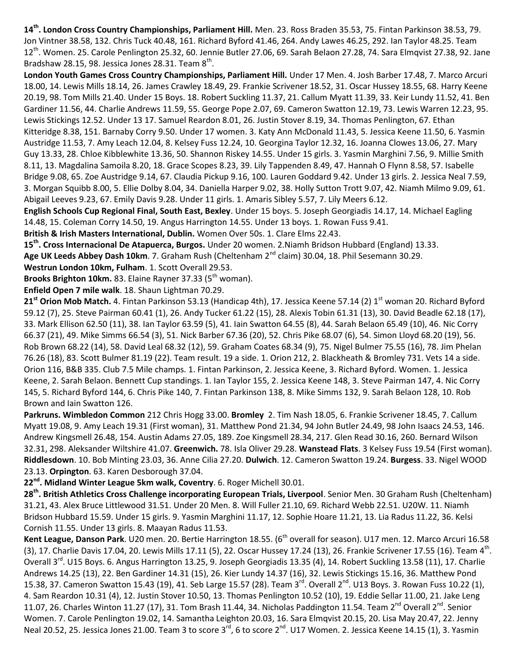**14th . London Cross Country Championships, Parliament Hill.** Men. 23. Ross Braden 35.53, 75. Fintan Parkinson 38.53, 79. Jon Vintner 38.58, 132. Chris Tuck 40.48, 161. Richard Byford 41.46, 264. Andy Lawes 46.25, 292. Ian Taylor 48.25. Team 12<sup>th</sup>. Women. 25. Carole Penlington 25.32, 60. Jennie Butler 27.06, 69. Sarah Belaon 27.28, 74. Sara Elmqvist 27.38, 92. Jane Bradshaw 28.15, 98. Jessica Jones 28.31. Team  $8^{\text{th}}$ .

**London Youth Games Cross Country Championships, Parliament Hill.** Under 17 Men. 4. Josh Barber 17.48, 7. Marco Arcuri 18.00, 14. Lewis Mills 18.14, 26. James Crawley 18.49, 29. Frankie Scrivener 18.52, 31. Oscar Hussey 18.55, 68. Harry Keene 20.19, 98. Tom Mills 21.40. Under 15 Boys. 18. Robert Suckling 11.37, 21. Callum Myatt 11.39, 33. Keir Lundy 11.52, 41. Ben Gardiner 11.56, 44. Charlie Andrews 11.59, 55. George Pope 2.07, 69. Cameron Swatton 12.19, 73. Lewis Warren 12.23, 95. Lewis Stickings 12.52. Under 13 17. Samuel Reardon 8.01, 26. Justin Stover 8.19, 34. Thomas Penlington, 67. Ethan Kitteridge 8.38, 151. Barnaby Corry 9.50. Under 17 women. 3. Katy Ann McDonald 11.43, 5. Jessica Keene 11.50, 6. Yasmin Austridge 11.53, 7. Amy Leach 12.04, 8. Kelsey Fuss 12.24, 10. Georgina Taylor 12.32, 16. Joanna Clowes 13.06, 27. Mary Guy 13.33, 28. Chloe Kibblewhite 13.36, 50. Shannon Riskey 14.55. Under 15 girls. 3. Yasmin Marghini 7.56, 9. Millie Smith 8.11, 13. Magdalina Samoila 8.20, 18. Grace Scopes 8.23, 39. Lily Tappenden 8.49, 47. Hannah O Flynn 8.58, 57. Isabelle Bridge 9.08, 65. Zoe Austridge 9.14, 67. Claudia Pickup 9.16, 100. Lauren Goddard 9.42. Under 13 girls. 2. Jessica Neal 7.59, 3. Morgan Squibb 8.00, 5. Ellie Dolby 8.04, 34. Daniella Harper 9.02, 38. Holly Sutton Trott 9.07, 42. Niamh Milmo 9.09, 61. Abigail Leeves 9.23, 67. Emily Davis 9.28. Under 11 girls. 1. Amaris Sibley 5.57, 7. Lily Meers 6.12.

**English Schools Cup Regional Final, South East, Bexley**. Under 15 boys. 5. Joseph Georgiadis 14.17, 14. Michael Eagling 14.48, 15. Coleman Corry 14.50, 19. Angus Harrington 14.55. Under 13 boys. 1. Rowan Fuss 9.41.

**British & Irish Masters International, Dublin.** Women Over 50s. 1. Clare Elms 22.43.

**15th. Cross Internacional De Atapuerca, Burgos.** Under 20 women. 2.Niamh Bridson Hubbard (England) 13.33.

Age UK Leeds Abbey Dash 10km. 7. Graham Rush (Cheltenham 2<sup>nd</sup> claim) 30.04, 18. Phil Sesemann 30.29.

**Westrun London 10km, Fulham**. 1. Scott Overall 29.53.

**Brooks Brighton 10km.** 83. Elaine Rayner 37.33 (5<sup>th</sup> woman).

**Enfield Open 7 mile walk**. 18. Shaun Lightman 70.29.

21<sup>st</sup> Orion Mob Match. 4. Fintan Parkinson 53.13 (Handicap 4th), 17. Jessica Keene 57.14 (2) 1<sup>st</sup> woman 20. Richard Byford 59.12 (7), 25. Steve Pairman 60.41 (1), 26. Andy Tucker 61.22 (15), 28. Alexis Tobin 61.31 (13), 30. David Beadle 62.18 (17), 33. Mark Ellison 62.50 (11), 38. Ian Taylor 63.59 (5), 41. Iain Swatton 64.55 (8), 44. Sarah Belaon 65.49 (10), 46. Nic Corry 66.37 (21), 49. Mike Simms 66.54 (3), 51. Nick Barber 67.36 (20), 52. Chris Pike 68.07 (6), 54. Simon Lloyd 68.20 (19), 56. Rob Brown 68.22 (14), 58. David Leal 68.32 (12), 59. Graham Coates 68.34 (9), 75. Nigel Bulmer 75.55 (16), 78. Jim Phelan 76.26 (18), 83. Scott Bulmer 81.19 (22). Team result. 19 a side. 1. Orion 212, 2. Blackheath & Bromley 731. Vets 14 a side. Orion 116, B&B 335. Club 7.5 Mile champs. 1. Fintan Parkinson, 2. Jessica Keene, 3. Richard Byford. Women. 1. Jessica Keene, 2. Sarah Belaon. Bennett Cup standings. 1. Ian Taylor 155, 2. Jessica Keene 148, 3. Steve Pairman 147, 4. Nic Corry 145, 5. Richard Byford 144, 6. Chris Pike 140, 7. Fintan Parkinson 138, 8. Mike Simms 132, 9. Sarah Belaon 128, 10. Rob Brown and Iain Swatton 126.

**Parkruns. Wimbledon Common** 212 Chris Hogg 33.00. **Bromley** 2. Tim Nash 18.05, 6. Frankie Scrivener 18.45, 7. Callum Myatt 19.08, 9. Amy Leach 19.31 (First woman), 31. Matthew Pond 21.34, 94 John Butler 24.49, 98 John Isaacs 24.53, 146. Andrew Kingsmell 26.48, 154. Austin Adams 27.05, 189. Zoe Kingsmell 28.34, 217. Glen Read 30.16, 260. Bernard Wilson 32.31, 298. Aleksander Wiltshire 41.07. **Greenwich.** 78. Isla Oliver 29.28. **Wanstead Flats**. 3 Kelsey Fuss 19.54 (First woman). **Riddlesdown**. 10. Bob Minting 23.03, 36. Anne Cilia 27.20. **Dulwich**. 12. Cameron Swatton 19.24. **Burgess**. 33. Nigel WOOD 23.13. **Orpington**. 63. Karen Desborough 37.04.

**22nd. Midland Winter League 5km walk, Coventry**. 6. Roger Michell 30.01.

**28th . British Athletics Cross Challenge incorporating European Trials, Liverpool**. Senior Men. 30 Graham Rush (Cheltenham) 31.21, 43. Alex Bruce Littlewood 31.51. Under 20 Men. 8. Will Fuller 21.10, 69. Richard Webb 22.51. U20W. 11. Niamh Bridson Hubbard 15.59. Under 15 girls. 9. Yasmin Marghini 11.17, 12. Sophie Hoare 11.21, 13. Lia Radus 11.22, 36. Kelsi Cornish 11.55. Under 13 girls. 8. Maayan Radus 11.53.

**Kent League, Danson Park**. U20 men. 20. Bertie Harrington 18.55. (6<sup>th</sup> overall for season). U17 men. 12. Marco Arcuri 16.58 (3), 17. Charlie Davis 17.04, 20. Lewis Mills 17.11 (5), 22. Oscar Hussey 17.24 (13), 26. Frankie Scrivener 17.55 (16). Team 4<sup>th</sup>. Overall 3<sup>rd</sup>. U15 Boys. 6. Angus Harrington 13.25, 9. Joseph Georgiadis 13.35 (4), 14. Robert Suckling 13.58 (11), 17. Charlie Andrews 14.25 (13), 22. Ben Gardiner 14.31 (15), 26. Kier Lundy 14.37 (16), 32. Lewis Stickings 15.16, 36. Matthew Pond 15.38, 37. Cameron Swatton 15.43 (19), 41. Seb Large 15.57 (28). Team 3<sup>rd</sup>. Overall 2<sup>nd</sup>. U13 Boys. 3. Rowan Fuss 10.22 (1), 4. Sam Reardon 10.31 (4), 12. Justin Stover 10.50, 13. Thomas Penlington 10.52 (10), 19. Eddie Sellar 11.00, 21. Jake Leng 11.07, 26. Charles Winton 11.27 (17), 31. Tom Brash 11.44, 34. Nicholas Paddington 11.54. Team 2<sup>nd</sup> Overall 2<sup>nd</sup>. Senior Women. 7. Carole Penlington 19.02, 14. Samantha Leighton 20.03, 16. Sara Elmqvist 20.15, 20. Lisa May 20.47, 22. Jenny Neal 20.52, 25. Jessica Jones 21.00. Team 3 to score 3<sup>rd</sup>, 6 to score 2<sup>nd</sup>. U17 Women. 2. Jessica Keene 14.15 (1), 3. Yasmin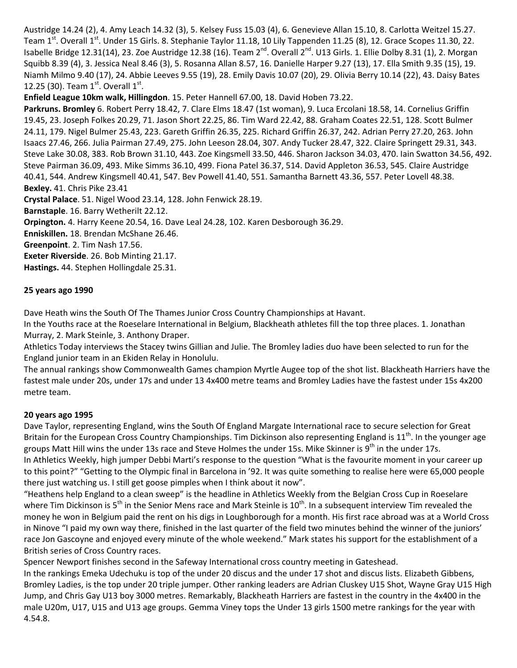Austridge 14.24 (2), 4. Amy Leach 14.32 (3), 5. Kelsey Fuss 15.03 (4), 6. Genevieve Allan 15.10, 8. Carlotta Weitzel 15.27. Team 1<sup>st</sup>. Overall 1<sup>st</sup>. Under 15 Girls. 8. Stephanie Taylor 11.18, 10 Lily Tappenden 11.25 (8), 12. Grace Scopes 11.30, 22. Isabelle Bridge 12.31(14), 23. Zoe Austridge 12.38 (16). Team 2<sup>nd</sup>. Overall 2<sup>nd</sup>. U13 Girls. 1. Ellie Dolby 8.31 (1), 2. Morgan Squibb 8.39 (4), 3. Jessica Neal 8.46 (3), 5. Rosanna Allan 8.57, 16. Danielle Harper 9.27 (13), 17. Ella Smith 9.35 (15), 19. Niamh Milmo 9.40 (17), 24. Abbie Leeves 9.55 (19), 28. Emily Davis 10.07 (20), 29. Olivia Berry 10.14 (22), 43. Daisy Bates 12.25 (30). Team  $1^{st}$ . Overall  $1^{st}$ .

**Enfield League 10km walk, Hillingdon**. 15. Peter Hannell 67.00, 18. David Hoben 73.22.

**Parkruns. Bromley** 6. Robert Perry 18.42, 7. Clare Elms 18.47 (1st woman), 9. Luca Ercolani 18.58, 14. Cornelius Griffin 19.45, 23. Joseph Folkes 20.29, 71. Jason Short 22.25, 86. Tim Ward 22.42, 88. Graham Coates 22.51, 128. Scott Bulmer 24.11, 179. Nigel Bulmer 25.43, 223. Gareth Griffin 26.35, 225. Richard Griffin 26.37, 242. Adrian Perry 27.20, 263. John Isaacs 27.46, 266. Julia Pairman 27.49, 275. John Leeson 28.04, 307. Andy Tucker 28.47, 322. Claire Springett 29.31, 343. Steve Lake 30.08, 383. Rob Brown 31.10, 443. Zoe Kingsmell 33.50, 446. Sharon Jackson 34.03, 470. Iain Swatton 34.56, 492. Steve Pairman 36.09, 493. Mike Simms 36.10, 499. Fiona Patel 36.37, 514. David Appleton 36.53, 545. Claire Austridge 40.41, 544. Andrew Kingsmell 40.41, 547. Bev Powell 41.40, 551. Samantha Barnett 43.36, 557. Peter Lovell 48.38. **Bexley.** 41. Chris Pike 23.41

**Crystal Palace**. 51. Nigel Wood 23.14, 128. John Fenwick 28.19.

**Barnstaple**. 16. Barry Wetherilt 22.12.

**Orpington.** 4. Harry Keene 20.54, 16. Dave Leal 24.28, 102. Karen Desborough 36.29.

**Enniskillen.** 18. Brendan McShane 26.46.

**Greenpoint**. 2. Tim Nash 17.56.

**Exeter Riverside**. 26. Bob Minting 21.17.

**Hastings.** 44. Stephen Hollingdale 25.31.

## **25 years ago 1990**

Dave Heath wins the South Of The Thames Junior Cross Country Championships at Havant.

In the Youths race at the Roeselare International in Belgium, Blackheath athletes fill the top three places. 1. Jonathan Murray, 2. Mark Steinle, 3. Anthony Draper.

Athletics Today interviews the Stacey twins Gillian and Julie. The Bromley ladies duo have been selected to run for the England junior team in an Ekiden Relay in Honolulu.

The annual rankings show Commonwealth Games champion Myrtle Augee top of the shot list. Blackheath Harriers have the fastest male under 20s, under 17s and under 13 4x400 metre teams and Bromley Ladies have the fastest under 15s 4x200 metre team.

## **20 years ago 1995**

Dave Taylor, representing England, wins the South Of England Margate International race to secure selection for Great Britain for the European Cross Country Championships. Tim Dickinson also representing England is  $11^{th}$ . In the younger age groups Matt Hill wins the under 13s race and Steve Holmes the under 15s. Mike Skinner is 9<sup>th</sup> in the under 17s. In Athletics Weekly, high jumper Debbi Marti's response to the question "What is the favourite moment in your career up to this point?" "Getting to the Olympic final in Barcelona in '92. It was quite something to realise here were 65,000 people there just watching us. I still get goose pimples when I think about it now".

"Heathens help England to a clean sweep" is the headline in Athletics Weekly from the Belgian Cross Cup in Roeselare where Tim Dickinson is 5<sup>th</sup> in the Senior Mens race and Mark Steinle is 10<sup>th</sup>. In a subsequent interview Tim revealed the money he won in Belgium paid the rent on his digs in Loughborough for a month. His first race abroad was at a World Cross in Ninove "I paid my own way there, finished in the last quarter of the field two minutes behind the winner of the juniors' race Jon Gascoyne and enjoyed every minute of the whole weekend." Mark states his support for the establishment of a British series of Cross Country races.

Spencer Newport finishes second in the Safeway International cross country meeting in Gateshead.

In the rankings Emeka Udechuku is top of the under 20 discus and the under 17 shot and discus lists. Elizabeth Gibbens, Bromley Ladies, is the top under 20 triple jumper. Other ranking leaders are Adrian Cluskey U15 Shot, Wayne Gray U15 High Jump, and Chris Gay U13 boy 3000 metres. Remarkably, Blackheath Harriers are fastest in the country in the 4x400 in the male U20m, U17, U15 and U13 age groups. Gemma Viney tops the Under 13 girls 1500 metre rankings for the year with 4.54.8.